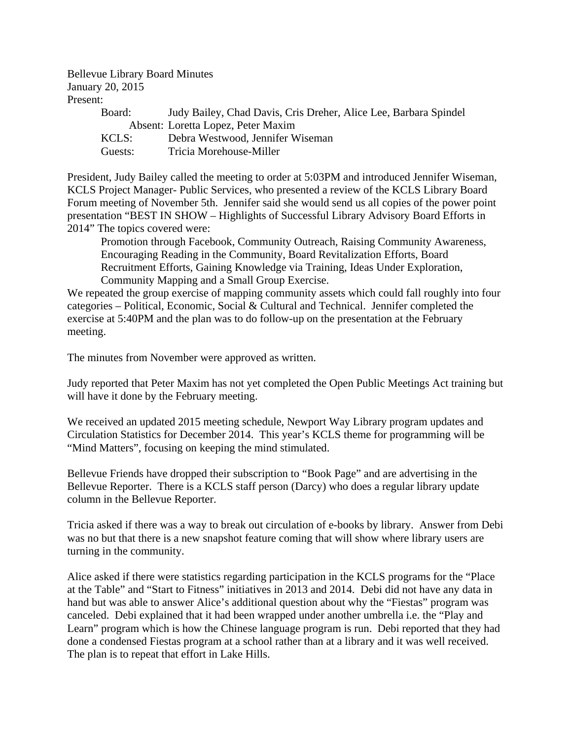Bellevue Library Board Minutes January 20, 2015 Present:

| Judy Bailey, Chad Davis, Cris Dreher, Alice Lee, Barbara Spindel |
|------------------------------------------------------------------|
| Absent: Loretta Lopez, Peter Maxim                               |
| Debra Westwood, Jennifer Wiseman                                 |
| Tricia Morehouse-Miller                                          |
|                                                                  |

President, Judy Bailey called the meeting to order at 5:03PM and introduced Jennifer Wiseman, KCLS Project Manager- Public Services, who presented a review of the KCLS Library Board Forum meeting of November 5th. Jennifer said she would send us all copies of the power point presentation "BEST IN SHOW – Highlights of Successful Library Advisory Board Efforts in 2014" The topics covered were:

 Promotion through Facebook, Community Outreach, Raising Community Awareness, Encouraging Reading in the Community, Board Revitalization Efforts, Board Recruitment Efforts, Gaining Knowledge via Training, Ideas Under Exploration, Community Mapping and a Small Group Exercise.

We repeated the group exercise of mapping community assets which could fall roughly into four categories – Political, Economic, Social & Cultural and Technical. Jennifer completed the exercise at 5:40PM and the plan was to do follow-up on the presentation at the February meeting.

The minutes from November were approved as written.

Judy reported that Peter Maxim has not yet completed the Open Public Meetings Act training but will have it done by the February meeting.

We received an updated 2015 meeting schedule, Newport Way Library program updates and Circulation Statistics for December 2014. This year's KCLS theme for programming will be "Mind Matters", focusing on keeping the mind stimulated.

Bellevue Friends have dropped their subscription to "Book Page" and are advertising in the Bellevue Reporter. There is a KCLS staff person (Darcy) who does a regular library update column in the Bellevue Reporter.

Tricia asked if there was a way to break out circulation of e-books by library. Answer from Debi was no but that there is a new snapshot feature coming that will show where library users are turning in the community.

Alice asked if there were statistics regarding participation in the KCLS programs for the "Place at the Table" and "Start to Fitness" initiatives in 2013 and 2014. Debi did not have any data in hand but was able to answer Alice's additional question about why the "Fiestas" program was canceled. Debi explained that it had been wrapped under another umbrella i.e. the "Play and Learn" program which is how the Chinese language program is run. Debi reported that they had done a condensed Fiestas program at a school rather than at a library and it was well received. The plan is to repeat that effort in Lake Hills.